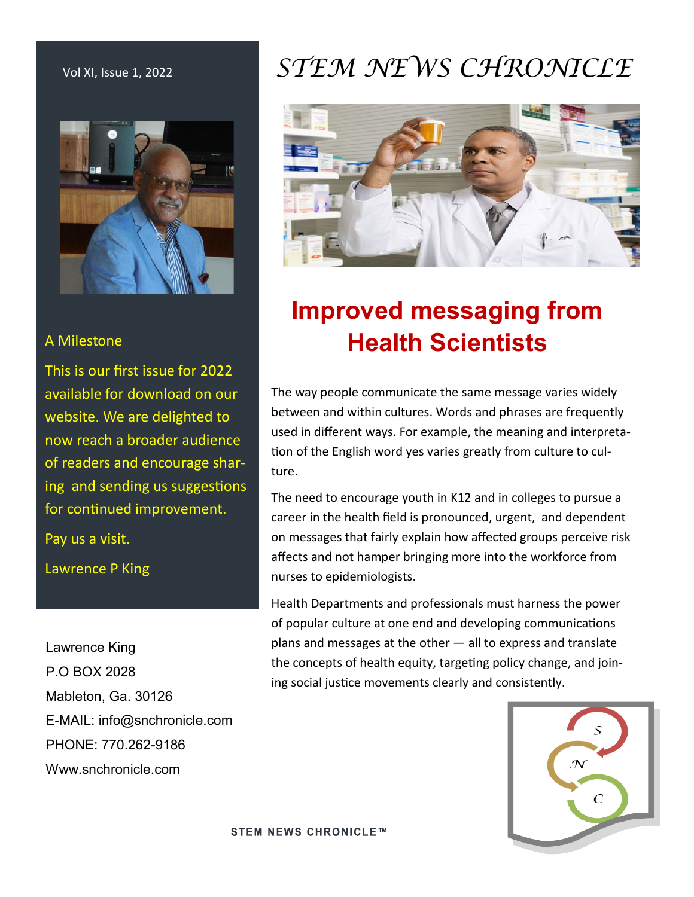

#### A Milestone

This is our first issue for 2022 available for download on our website. We are delighted to now reach a broader audience of readers and encourage sharing and sending us suggestions for continued improvement.

Pay us a visit.

Lawrence P King

Lawrence King P.O BOX 2028 Mableton, Ga. 30126 E-MAIL: info@snchronicle.com PHONE: 770.262-9186 Www.snchronicle.com

# Vol XI, Issue 1, 2022 *STEM NEWS CHRONICLE*



# **Improved messaging from Health Scientists**

The way people communicate the same message varies widely between and within cultures. Words and phrases are frequently used in different ways. For example, the meaning and interpretation of the English word yes varies greatly from culture to culture.

The need to encourage youth in K12 and in colleges to pursue a career in the health field is pronounced, urgent, and dependent on messages that fairly explain how affected groups perceive risk affects and not hamper bringing more into the workforce from nurses to epidemiologists.

Health Departments and professionals must harness the power of popular culture at one end and developing communications plans and messages at the other — all to express and translate the concepts of health equity, targeting policy change, and joining social justice movements clearly and consistently.

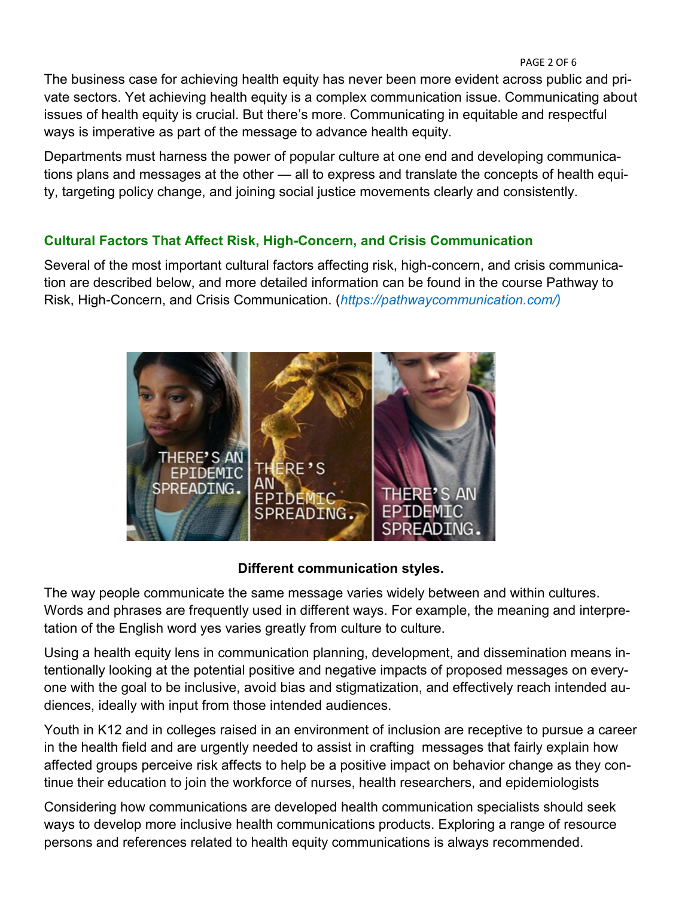The business case for achieving health equity has never been more evident across public and private sectors. Yet achieving health equity is a complex communication issue. Communicating about issues of health equity is crucial. But there's more. Communicating in equitable and respectful ways is imperative as part of the message to advance health equity.

Departments must harness the power of popular culture at one end and developing communications plans and messages at the other — all to express and translate the concepts of health equity, targeting policy change, and joining social justice movements clearly and consistently.

### **Cultural Factors That Affect Risk, High-Concern, and Crisis Communication**

Several of the most important cultural factors affecting risk, high-concern, and crisis communication are described below, and more detailed information can be found in the course Pathway to Risk, High-Concern, and Crisis Communication. (*https://pathwaycommunication.com/)*



#### **Different communication styles.**

The way people communicate the same message varies widely between and within cultures. Words and phrases are frequently used in different ways. For example, the meaning and interpretation of the English word yes varies greatly from culture to culture.

Using a health equity lens in communication planning, development, and dissemination means intentionally looking at the potential positive and negative impacts of proposed messages on everyone with the goal to be inclusive, avoid bias and stigmatization, and effectively reach intended audiences, ideally with input from those intended audiences.

Youth in K12 and in colleges raised in an environment of inclusion are receptive to pursue a career in the health field and are urgently needed to assist in crafting messages that fairly explain how affected groups perceive risk affects to help be a positive impact on behavior change as they continue their education to join the workforce of nurses, health researchers, and epidemiologists

Considering how communications are developed health communication specialists should seek ways to develop more inclusive health communications products. Exploring a range of resource persons and references related to health equity communications is always recommended.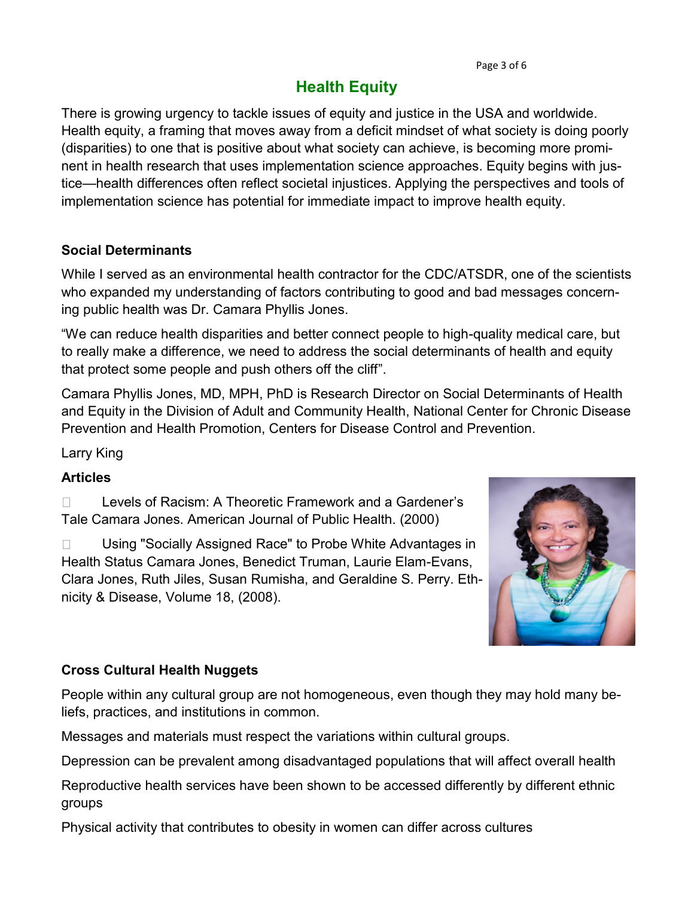# **Health Equity**

There is growing urgency to tackle issues of equity and justice in the USA and worldwide. Health equity, a framing that moves away from a deficit mindset of what society is doing poorly (disparities) to one that is positive about what society can achieve, is becoming more prominent in health research that uses implementation science approaches. Equity begins with justice—health differences often reflect societal injustices. Applying the perspectives and tools of implementation science has potential for immediate impact to improve health equity.

#### **Social Determinants**

While I served as an environmental health contractor for the CDC/ATSDR, one of the scientists who expanded my understanding of factors contributing to good and bad messages concerning public health was Dr. Camara Phyllis Jones.

"We can reduce health disparities and better connect people to high-quality medical care, but to really make a difference, we need to address the social determinants of health and equity that protect some people and push others off the cliff".

Camara Phyllis Jones, MD, MPH, PhD is Research Director on Social Determinants of Health and Equity in the Division of Adult and Community Health, National Center for Chronic Disease Prevention and Health Promotion, Centers for Disease Control and Prevention.

Larry King

#### **Articles**

Levels of Racism: A Theoretic Framework and a Gardener's  $\Box$ Tale Camara Jones. American Journal of Public Health. (2000)

 $\Box$ Using "Socially Assigned Race" to Probe White Advantages in Health Status Camara Jones, Benedict Truman, Laurie Elam-Evans, Clara Jones, Ruth Jiles, Susan Rumisha, and Geraldine S. Perry. Ethnicity & Disease, Volume 18, (2008).



#### **Cross Cultural Health Nuggets**

People within any cultural group are not homogeneous, even though they may hold many beliefs, practices, and institutions in common.

Messages and materials must respect the variations within cultural groups.

Depression can be prevalent among disadvantaged populations that will affect overall health

Reproductive health services have been shown to be accessed differently by different ethnic groups

Physical activity that contributes to obesity in women can differ across cultures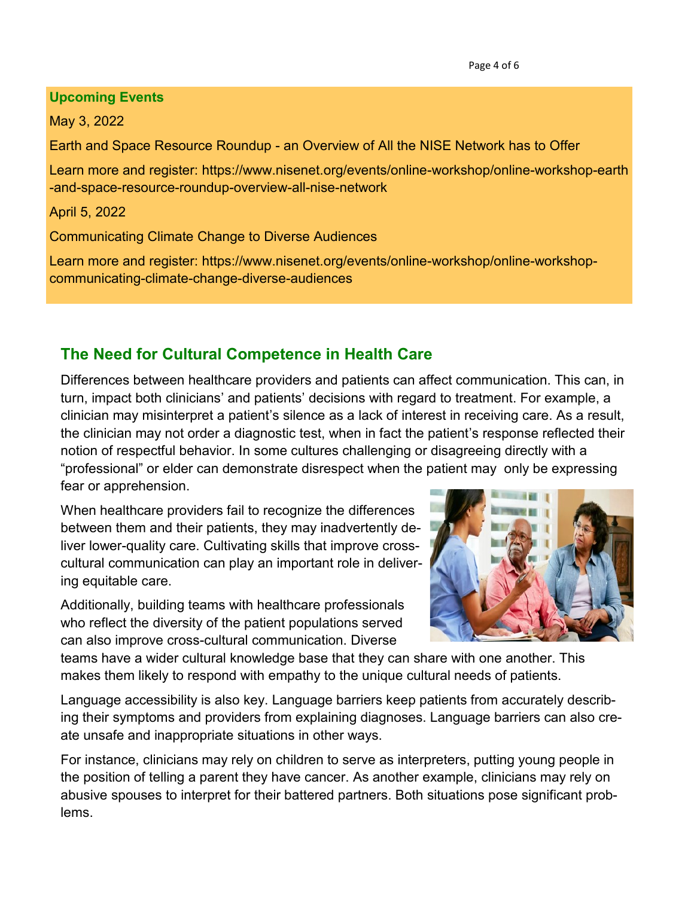#### **Upcoming Events**

May 3, 2022

Earth and Space Resource Roundup - an Overview of All the NISE Network has to Offer

Learn more and register: https://www.nisenet.org/events/online-workshop/online-workshop-earth -and-space-resource-roundup-overview-all-nise-network

April 5, 2022

Communicating Climate Change to Diverse Audiences

Learn more and register: https://www.nisenet.org/events/online-workshop/online-workshopcommunicating-climate-change-diverse-audiences

# **The Need for Cultural Competence in Health Care**

Differences between healthcare providers and patients can affect communication. This can, in turn, impact both clinicians' and patients' decisions with regard to treatment. For example, a clinician may misinterpret a patient's silence as a lack of interest in receiving care. As a result, the clinician may not order a diagnostic test, when in fact the patient's response reflected their notion of respectful behavior. In some cultures challenging or disagreeing directly with a "professional" or elder can demonstrate disrespect when the patient may only be expressing fear or apprehension.

When healthcare providers fail to recognize the differences between them and their patients, they may inadvertently deliver lower-quality care. Cultivating skills that improve crosscultural communication can play an important role in delivering equitable care.

Additionally, building teams with healthcare professionals who reflect the diversity of the patient populations served can also improve cross-cultural communication. Diverse



teams have a wider cultural knowledge base that they can share with one another. This makes them likely to respond with empathy to the unique cultural needs of patients.

Language accessibility is also key. Language barriers keep patients from accurately describing their symptoms and providers from explaining diagnoses. Language barriers can also create unsafe and inappropriate situations in other ways.

For instance, clinicians may rely on children to serve as interpreters, putting young people in the position of telling a parent they have cancer. As another example, clinicians may rely on abusive spouses to interpret for their battered partners. Both situations pose significant problems.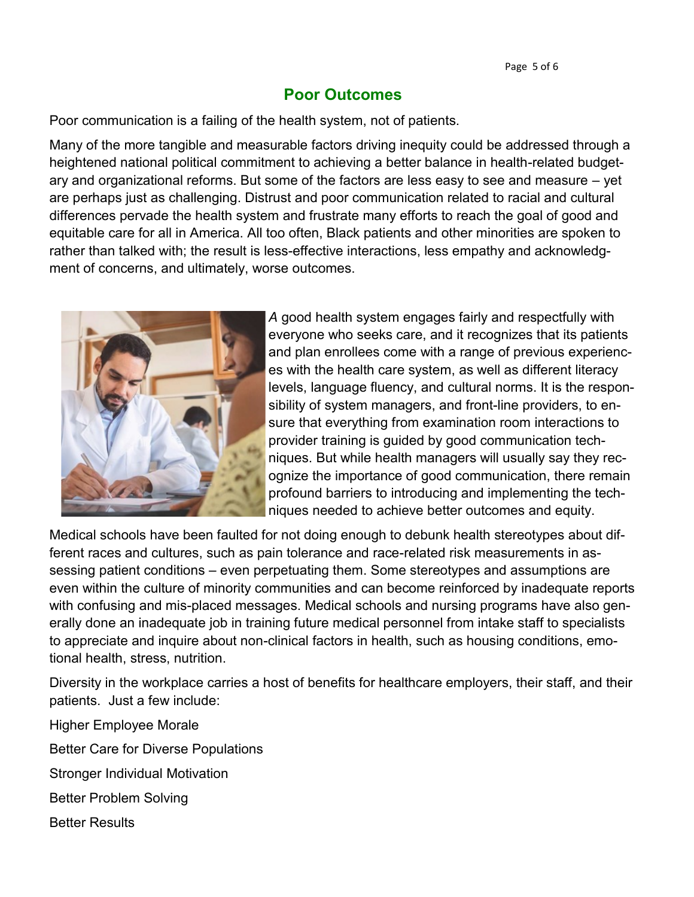### **Poor Outcomes**

Poor communication is a failing of the health system, not of patients.

Many of the more tangible and measurable factors driving inequity could be addressed through a heightened national political commitment to achieving a better balance in health-related budgetary and organizational reforms. But some of the factors are less easy to see and measure – yet are perhaps just as challenging. Distrust and poor communication related to racial and cultural differences pervade the health system and frustrate many efforts to reach the goal of good and equitable care for all in America. All too often, Black patients and other minorities are spoken to rather than talked with; the result is less-effective interactions, less empathy and acknowledgment of concerns, and ultimately, worse outcomes.



*A* good health system engages fairly and respectfully with everyone who seeks care, and it recognizes that its patients and plan enrollees come with a range of previous experiences with the health care system, as well as different literacy levels, language fluency, and cultural norms. It is the responsibility of system managers, and front-line providers, to ensure that everything from examination room interactions to provider training is guided by good communication techniques. But while health managers will usually say they recognize the importance of good communication, there remain profound barriers to introducing and implementing the techniques needed to achieve better outcomes and equity.

Medical schools have been faulted for not doing enough to debunk health stereotypes about different races and cultures, such as pain tolerance and race-related risk measurements in assessing patient conditions – even perpetuating them. Some stereotypes and assumptions are even within the culture of minority communities and can become reinforced by inadequate reports with confusing and mis-placed messages. Medical schools and nursing programs have also generally done an inadequate job in training future medical personnel from intake staff to specialists to appreciate and inquire about non-clinical factors in health, such as housing conditions, emotional health, stress, nutrition.

Diversity in the workplace carries a host of benefits for healthcare employers, their staff, and their patients. Just a few include:

Higher Employee Morale

Better Care for Diverse Populations

Stronger Individual Motivation

Better Problem Solving

Better Results